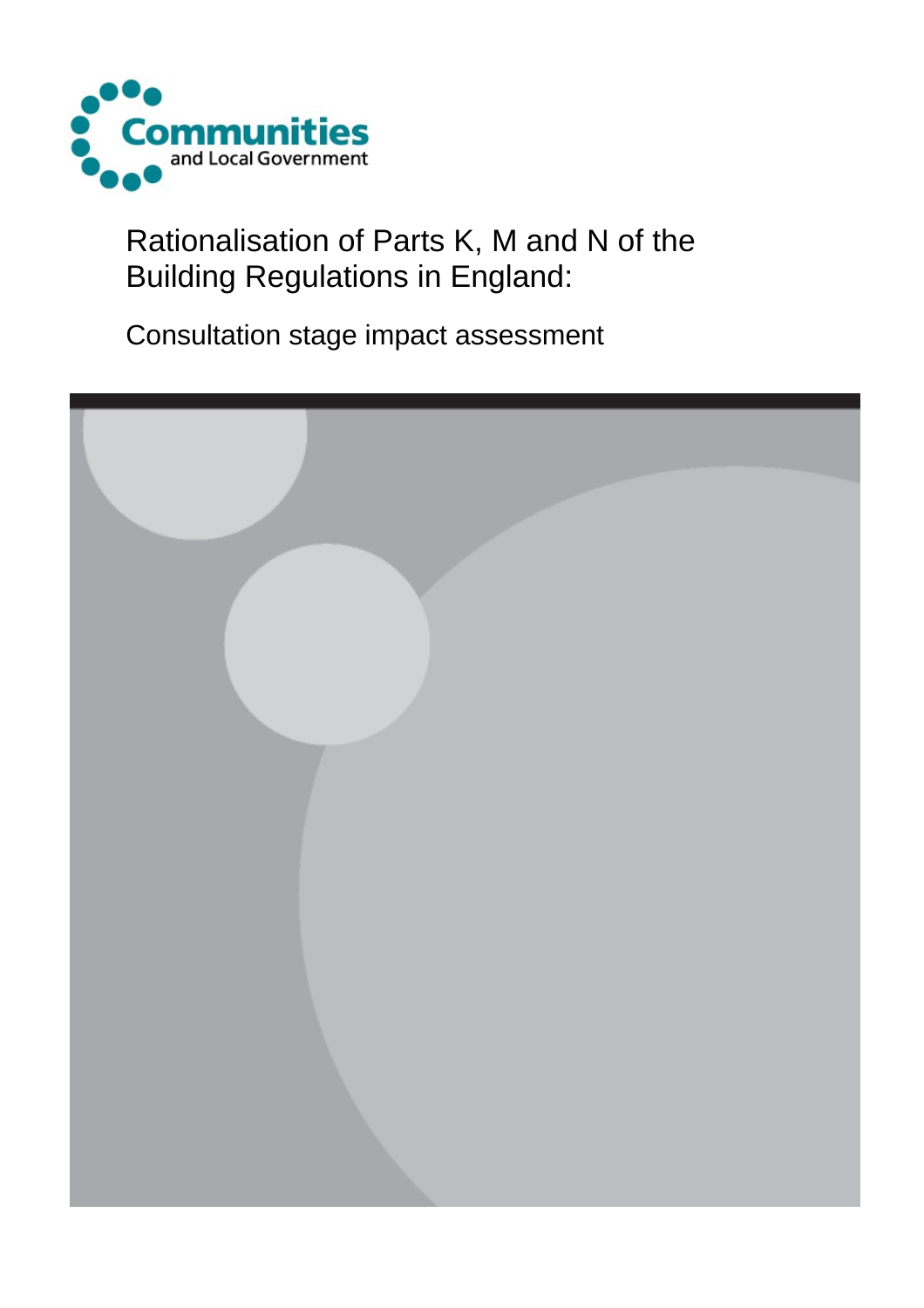

Rationalisation of Parts K, M and N of the Building Regulations in England:

Consultation stage impact assessment

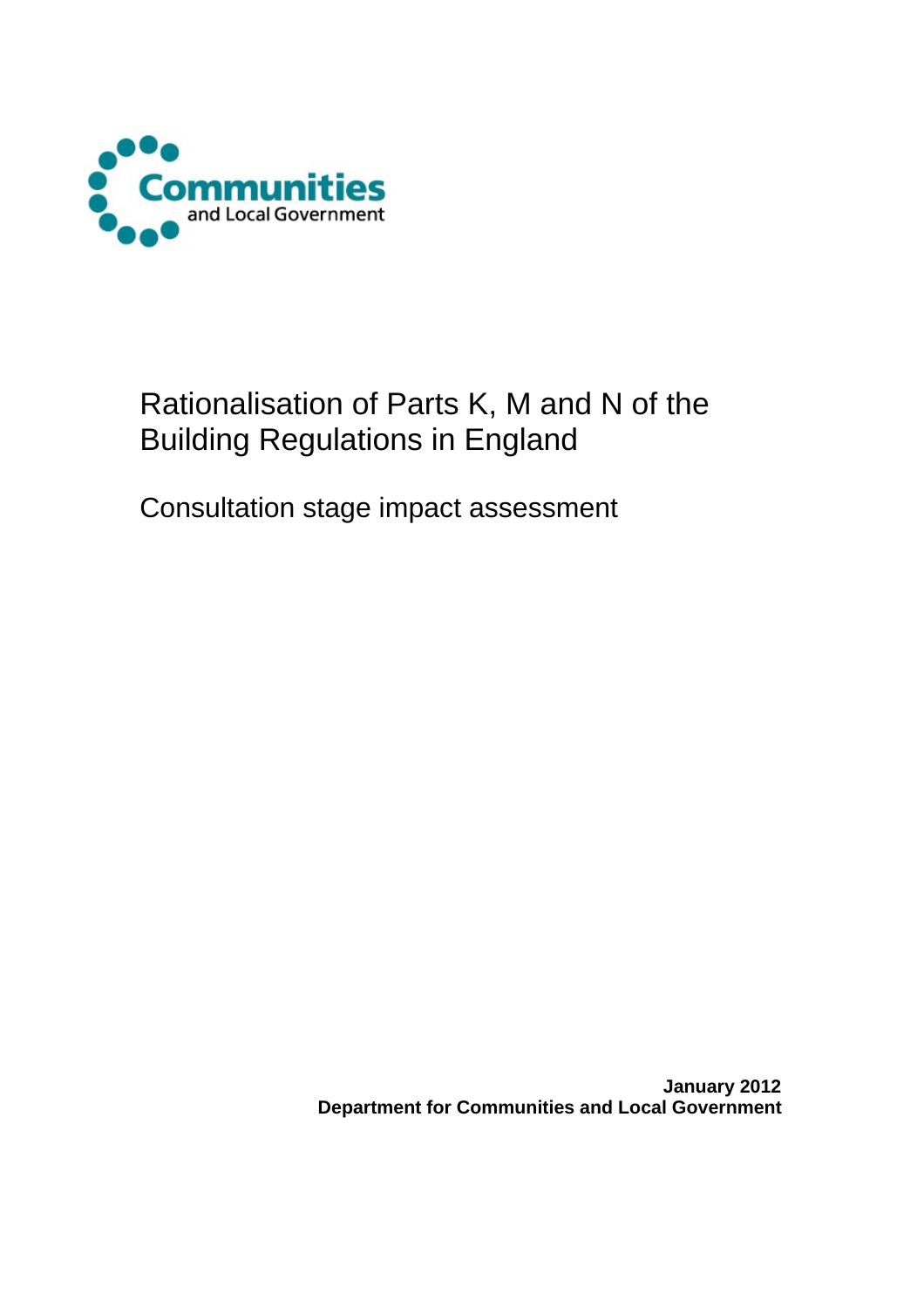

# Rationalisation of Parts K, M and N of the Building Regulations in England

Consultation stage impact assessment

 **January 2012 Department for Communities and Local Government**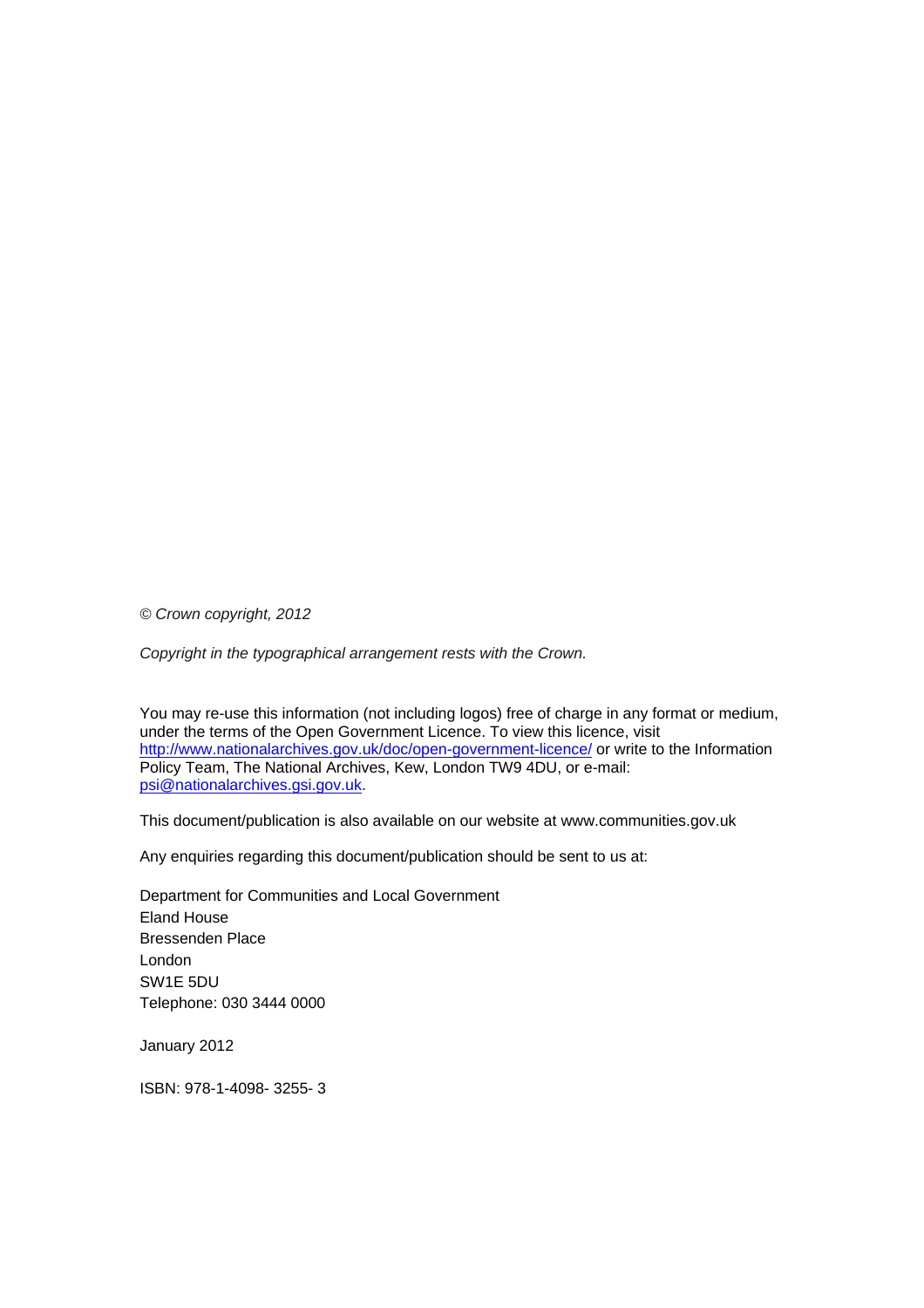*© Crown copyright, 2012* 

*Copyright in the typographical arrangement rests with the Crown.*

You may re-use this information (not including logos) free of charge in any format or medium, under the terms of the Open Government Licence. To view this licence, visit <http://www.nationalarchives.gov.uk/doc/open-government-licence/> or write to the Information Policy Team, The National Archives, Kew, London TW9 4DU, or e-mail: [psi@nationalarchives.gsi.gov.uk.](mailto:psi@nationalarchives.gsi.gov.uk)

This document/publication is also available on our website at www.communities.gov.uk

Any enquiries regarding this document/publication should be sent to us at:

Department for Communities and Local Government Eland House Bressenden Place London SW1E 5DU Telephone: 030 3444 0000

January 2012

ISBN: 978-1-4098- 3255- 3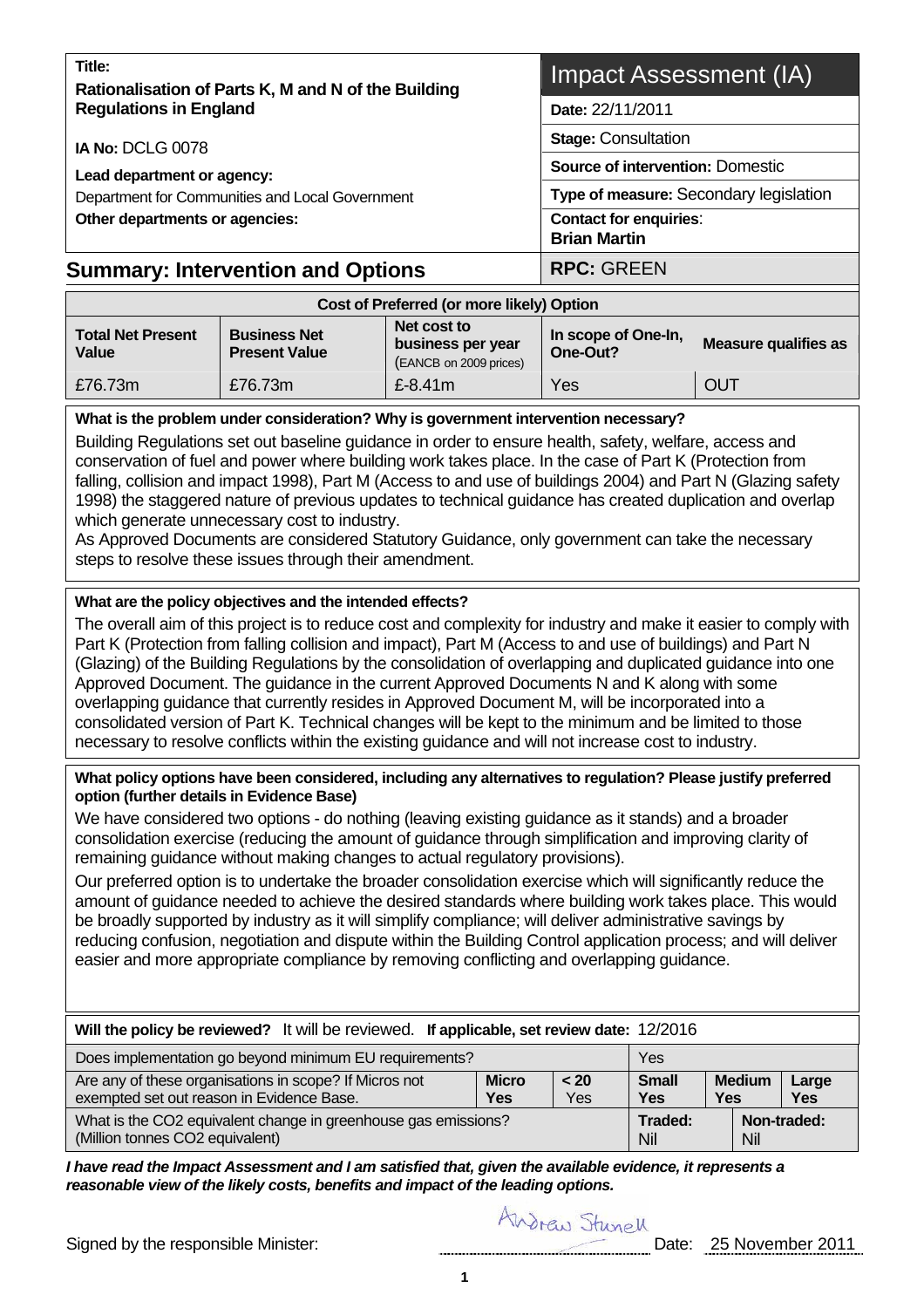| Title:<br>Rationalisation of Parts K, M and N of the Building | Impact Assessment (IA)                               |  |  |  |
|---------------------------------------------------------------|------------------------------------------------------|--|--|--|
| <b>Regulations in England</b>                                 | Date: 22/11/2011                                     |  |  |  |
| IA No: DCLG 0078                                              | <b>Stage: Consultation</b>                           |  |  |  |
| Lead department or agency:                                    | <b>Source of intervention: Domestic</b>              |  |  |  |
| Department for Communities and Local Government               | Type of measure: Secondary legislation               |  |  |  |
| Other departments or agencies:                                | <b>Contact for enquiries:</b><br><b>Brian Martin</b> |  |  |  |
| <b>Summary: Intervention and Options</b>                      | <b>RPC: GREEN</b>                                    |  |  |  |
| Cost of Preferred (or more likely) Option                     |                                                      |  |  |  |

| <b>Total Net Present</b><br><b>Value</b> | <b>Business Net</b><br><b>Present Value</b> | Net cost to<br>business per year<br>(EANCB on 2009 prices) | In scope of One-In,<br>One-Out? | <b>Measure qualifies as</b> |  |  |  |
|------------------------------------------|---------------------------------------------|------------------------------------------------------------|---------------------------------|-----------------------------|--|--|--|
| E76.73m                                  | £76.73m                                     | £ $-8.41m$                                                 | Yes                             | <b>OUT</b>                  |  |  |  |

#### **What is the problem under consideration? Why is government intervention necessary?**

Building Regulations set out baseline guidance in order to ensure health, safety, welfare, access and conservation of fuel and power where building work takes place. In the case of Part K (Protection from falling, collision and impact 1998), Part M (Access to and use of buildings 2004) and Part N (Glazing safety 1998) the staggered nature of previous updates to technical guidance has created duplication and overlap which generate unnecessary cost to industry.

As Approved Documents are considered Statutory Guidance, only government can take the necessary steps to resolve these issues through their amendment.

#### **What are the policy objectives and the intended effects?**

The overall aim of this project is to reduce cost and complexity for industry and make it easier to comply with Part K (Protection from falling collision and impact), Part M (Access to and use of buildings) and Part N (Glazing) of the Building Regulations by the consolidation of overlapping and duplicated guidance into one Approved Document. The guidance in the current Approved Documents N and K along with some overlapping guidance that currently resides in Approved Document M, will be incorporated into a consolidated version of Part K. Technical changes will be kept to the minimum and be limited to those necessary to resolve conflicts within the existing guidance and will not increase cost to industry.

#### **What policy options have been considered, including any alternatives to regulation? Please justify preferred option (further details in Evidence Base)**

We have considered two options - do nothing (leaving existing guidance as it stands) and a broader consolidation exercise (reducing the amount of guidance through simplification and improving clarity of remaining guidance without making changes to actual regulatory provisions).

Our preferred option is to undertake the broader consolidation exercise which will significantly reduce the amount of guidance needed to achieve the desired standards where building work takes place. This would be broadly supported by industry as it will simplify compliance; will deliver administrative savings by reducing confusion, negotiation and dispute within the Building Control application process; and will deliver easier and more appropriate compliance by removing conflicting and overlapping guidance.

| Will the policy be reviewed? It will be reviewed. If applicable, set review date: 12/2016           |                            |                             |                     |  |  |  |
|-----------------------------------------------------------------------------------------------------|----------------------------|-----------------------------|---------------------|--|--|--|
| Does implementation go beyond minimum EU requirements?<br>Yes                                       |                            |                             |                     |  |  |  |
| Are any of these organisations in scope? If Micros not<br>exempted set out reason in Evidence Base. | <b>Small</b><br><b>Yes</b> | <b>Medium</b><br><b>Yes</b> | Large<br><b>Yes</b> |  |  |  |
| What is the CO2 equivalent change in greenhouse gas emissions?<br>(Million tonnes CO2 equivalent)   | Traded:<br>Nil             | <b>Nil</b>                  | Non-traded:         |  |  |  |

*I have read the Impact Assessment and I am satisfied that, given the available evidence, it represents a reasonable view of the likely costs, benefits and impact of the leading options.* 

Andrew Stunell

Signed by the responsible Minister: Date: 25 November 2011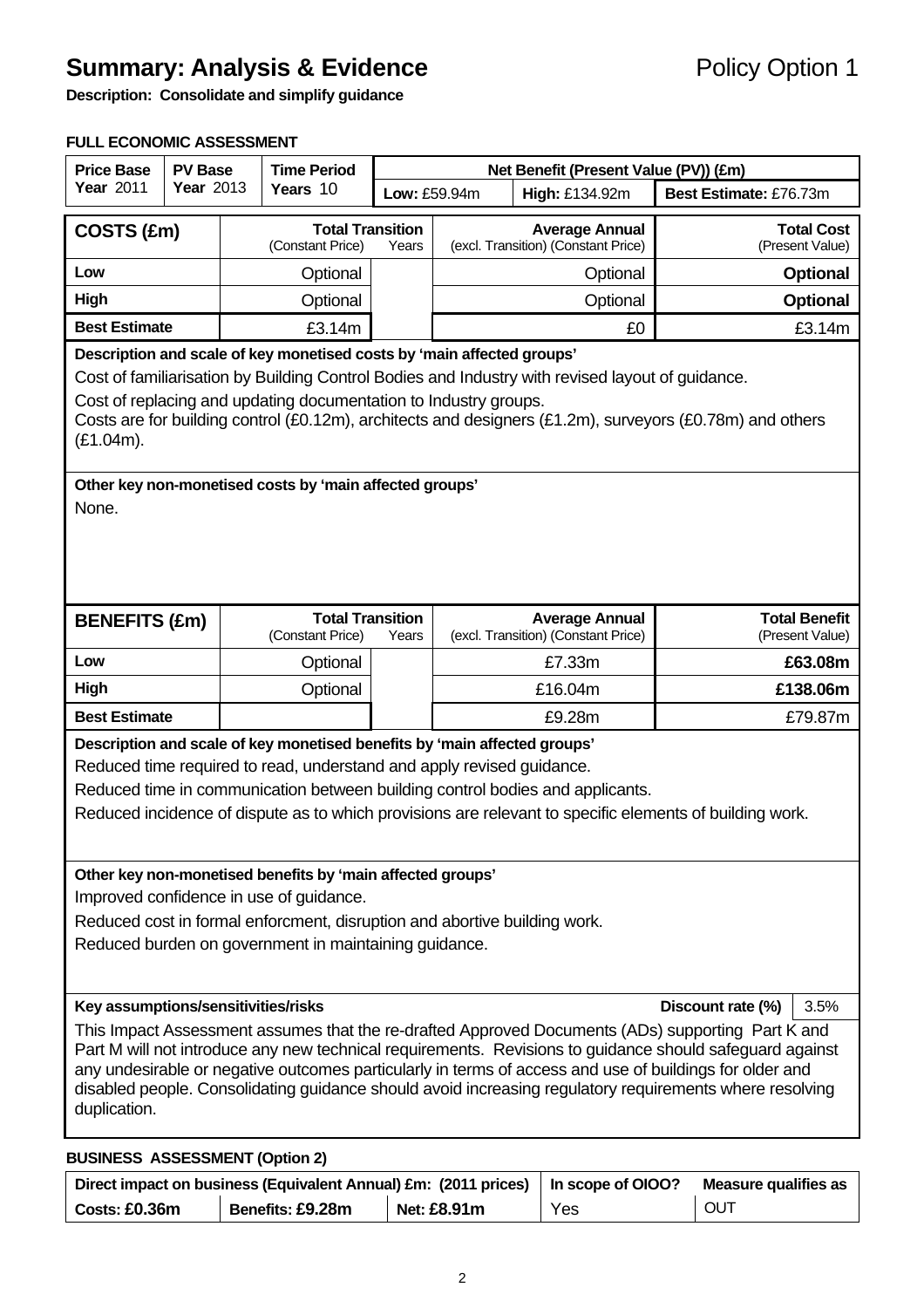## **Summary: Analysis & Evidence Policy Option 1**

**Description: Consolidate and simplify guidance** 

#### **FULL ECONOMIC ASSESSMENT**

| <b>Price Base</b>                                                                                                                                                                                                                                                                                                                                                                                                                                   | <b>Time Period</b><br><b>PV Base</b><br>Year 2013<br>Years 10<br>Low: £59.94m<br>High: £134.92m |  |                                                                        |                        | Net Benefit (Present Value (PV)) (£m) |                                                              |  |                                         |  |
|-----------------------------------------------------------------------------------------------------------------------------------------------------------------------------------------------------------------------------------------------------------------------------------------------------------------------------------------------------------------------------------------------------------------------------------------------------|-------------------------------------------------------------------------------------------------|--|------------------------------------------------------------------------|------------------------|---------------------------------------|--------------------------------------------------------------|--|-----------------------------------------|--|
| <b>Year 2011</b>                                                                                                                                                                                                                                                                                                                                                                                                                                    |                                                                                                 |  |                                                                        | Best Estimate: £76.73m |                                       |                                                              |  |                                         |  |
| COSTS (£m)                                                                                                                                                                                                                                                                                                                                                                                                                                          |                                                                                                 |  | <b>Total Transition</b><br>(Constant Price)                            | Years                  |                                       | <b>Average Annual</b><br>(excl. Transition) (Constant Price) |  | <b>Total Cost</b><br>(Present Value)    |  |
| Low                                                                                                                                                                                                                                                                                                                                                                                                                                                 |                                                                                                 |  | Optional                                                               |                        |                                       | Optional                                                     |  | <b>Optional</b>                         |  |
| High                                                                                                                                                                                                                                                                                                                                                                                                                                                |                                                                                                 |  | Optional                                                               |                        |                                       | Optional                                                     |  | <b>Optional</b>                         |  |
| <b>Best Estimate</b>                                                                                                                                                                                                                                                                                                                                                                                                                                |                                                                                                 |  | £3.14m                                                                 |                        |                                       | £0                                                           |  | £3.14m                                  |  |
|                                                                                                                                                                                                                                                                                                                                                                                                                                                     |                                                                                                 |  | Description and scale of key monetised costs by 'main affected groups' |                        |                                       |                                                              |  |                                         |  |
| Cost of familiarisation by Building Control Bodies and Industry with revised layout of guidance.<br>Cost of replacing and updating documentation to Industry groups.<br>Costs are for building control (£0.12m), architects and designers (£1.2m), surveyors (£0.78m) and others                                                                                                                                                                    |                                                                                                 |  |                                                                        |                        |                                       |                                                              |  |                                         |  |
| $(E1.04m)$ .                                                                                                                                                                                                                                                                                                                                                                                                                                        |                                                                                                 |  |                                                                        |                        |                                       |                                                              |  |                                         |  |
| None.                                                                                                                                                                                                                                                                                                                                                                                                                                               | Other key non-monetised costs by 'main affected groups'                                         |  |                                                                        |                        |                                       |                                                              |  |                                         |  |
| <b>BENEFITS (£m)</b>                                                                                                                                                                                                                                                                                                                                                                                                                                |                                                                                                 |  | <b>Total Transition</b><br>(Constant Price)                            | Years                  |                                       | <b>Average Annual</b><br>(excl. Transition) (Constant Price) |  | <b>Total Benefit</b><br>(Present Value) |  |
| Low                                                                                                                                                                                                                                                                                                                                                                                                                                                 |                                                                                                 |  | Optional                                                               |                        |                                       | £7.33m                                                       |  | £63.08m                                 |  |
| High                                                                                                                                                                                                                                                                                                                                                                                                                                                |                                                                                                 |  | Optional                                                               |                        |                                       | £16.04m                                                      |  | £138.06m                                |  |
| <b>Best Estimate</b>                                                                                                                                                                                                                                                                                                                                                                                                                                |                                                                                                 |  |                                                                        |                        | £9.28m                                |                                                              |  | £79.87m                                 |  |
| Description and scale of key monetised benefits by 'main affected groups'<br>Reduced time required to read, understand and apply revised guidance.<br>Reduced time in communication between building control bodies and applicants.<br>Reduced incidence of dispute as to which provisions are relevant to specific elements of building work.                                                                                                      |                                                                                                 |  |                                                                        |                        |                                       |                                                              |  |                                         |  |
| Other key non-monetised benefits by 'main affected groups'<br>Improved confidence in use of guidance.<br>Reduced cost in formal enforcment, disruption and abortive building work.<br>Reduced burden on government in maintaining guidance.                                                                                                                                                                                                         |                                                                                                 |  |                                                                        |                        |                                       |                                                              |  |                                         |  |
| Key assumptions/sensitivities/risks<br>Discount rate (%)<br>3.5%                                                                                                                                                                                                                                                                                                                                                                                    |                                                                                                 |  |                                                                        |                        |                                       |                                                              |  |                                         |  |
| This Impact Assessment assumes that the re-drafted Approved Documents (ADs) supporting Part K and<br>Part M will not introduce any new technical requirements. Revisions to guidance should safeguard against<br>any undesirable or negative outcomes particularly in terms of access and use of buildings for older and<br>disabled people. Consolidating guidance should avoid increasing regulatory requirements where resolving<br>duplication. |                                                                                                 |  |                                                                        |                        |                                       |                                                              |  |                                         |  |
| <b>BUSINESS ASSESSMENT (Option 2)</b>                                                                                                                                                                                                                                                                                                                                                                                                               |                                                                                                 |  |                                                                        |                        |                                       |                                                              |  |                                         |  |

|               | Direct impact on business (Equivalent Annual) £m: (2011 prices)   In scope of OIOO? |                    | Measure qualifies as |            |
|---------------|-------------------------------------------------------------------------------------|--------------------|----------------------|------------|
| Costs: £0.36m | Benefits: £9.28m                                                                    | <b>Net: £8.91m</b> | Yes                  | <b>OUT</b> |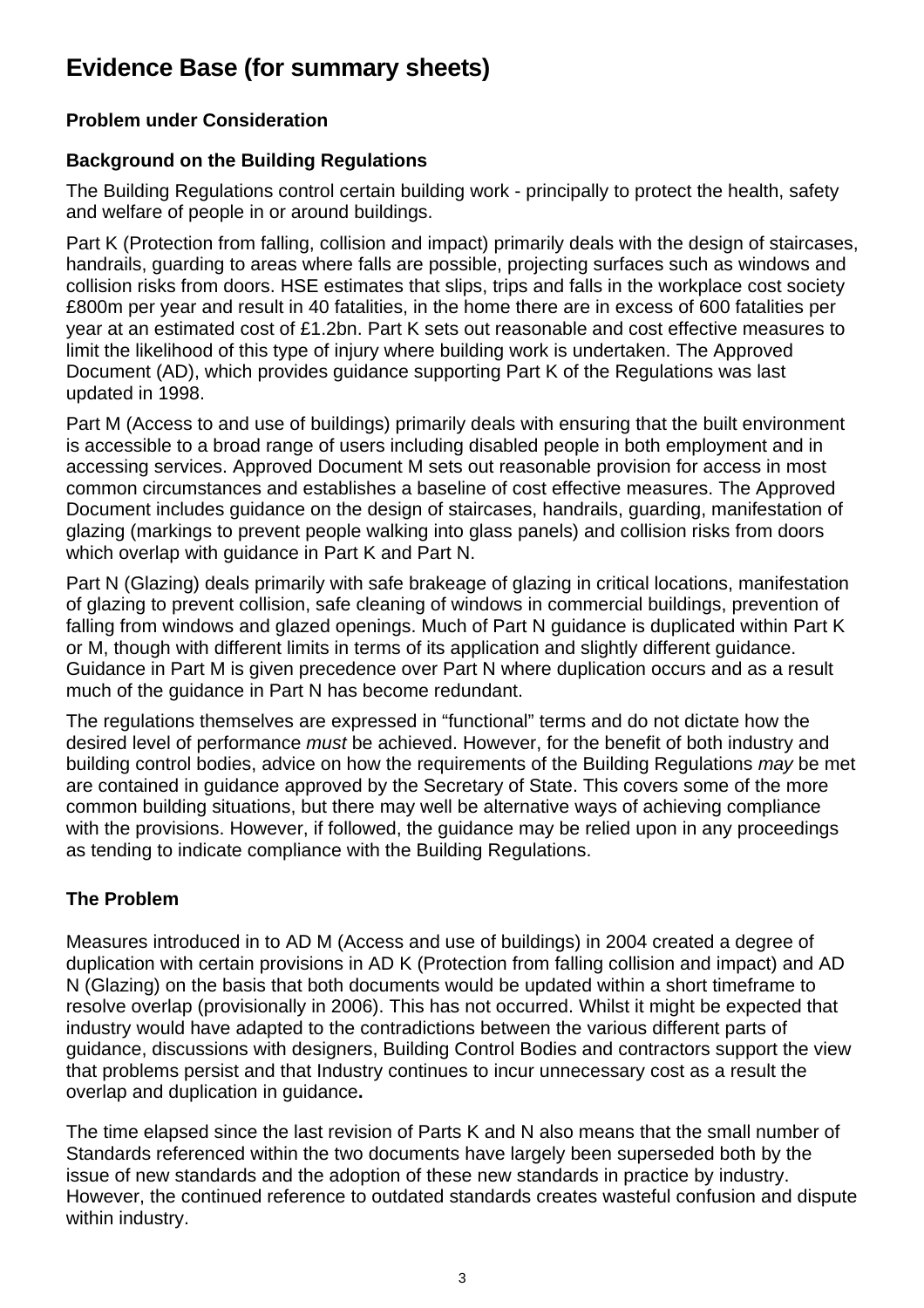## **Evidence Base (for summary sheets)**

### **Problem under Consideration**

## **Background on the Building Regulations**

The Building Regulations control certain building work - principally to protect the health, safety and welfare of people in or around buildings.

Part K (Protection from falling, collision and impact) primarily deals with the design of staircases, handrails, guarding to areas where falls are possible, projecting surfaces such as windows and collision risks from doors. HSE estimates that slips, trips and falls in the workplace cost society £800m per year and result in 40 fatalities, in the home there are in excess of 600 fatalities per year at an estimated cost of £1.2bn. Part K sets out reasonable and cost effective measures to limit the likelihood of this type of injury where building work is undertaken. The Approved Document (AD), which provides guidance supporting Part K of the Regulations was last updated in 1998.

Part M (Access to and use of buildings) primarily deals with ensuring that the built environment is accessible to a broad range of users including disabled people in both employment and in accessing services. Approved Document M sets out reasonable provision for access in most common circumstances and establishes a baseline of cost effective measures. The Approved Document includes guidance on the design of staircases, handrails, guarding, manifestation of glazing (markings to prevent people walking into glass panels) and collision risks from doors which overlap with guidance in Part K and Part N.

Part N (Glazing) deals primarily with safe brakeage of glazing in critical locations, manifestation of glazing to prevent collision, safe cleaning of windows in commercial buildings, prevention of falling from windows and glazed openings. Much of Part N guidance is duplicated within Part K or M, though with different limits in terms of its application and slightly different guidance. Guidance in Part M is given precedence over Part N where duplication occurs and as a result much of the guidance in Part N has become redundant.

The regulations themselves are expressed in "functional" terms and do not dictate how the desired level of performance *must* be achieved. However, for the benefit of both industry and building control bodies, advice on how the requirements of the Building Regulations *may* be met are contained in guidance approved by the Secretary of State. This covers some of the more common building situations, but there may well be alternative ways of achieving compliance with the provisions. However, if followed, the guidance may be relied upon in any proceedings as tending to indicate compliance with the Building Regulations.

## **The Problem**

Measures introduced in to AD M (Access and use of buildings) in 2004 created a degree of duplication with certain provisions in AD K (Protection from falling collision and impact) and AD N (Glazing) on the basis that both documents would be updated within a short timeframe to resolve overlap (provisionally in 2006). This has not occurred. Whilst it might be expected that industry would have adapted to the contradictions between the various different parts of guidance, discussions with designers, Building Control Bodies and contractors support the view that problems persist and that Industry continues to incur unnecessary cost as a result the overlap and duplication in guidance**.** 

The time elapsed since the last revision of Parts K and N also means that the small number of Standards referenced within the two documents have largely been superseded both by the issue of new standards and the adoption of these new standards in practice by industry. However, the continued reference to outdated standards creates wasteful confusion and dispute within industry.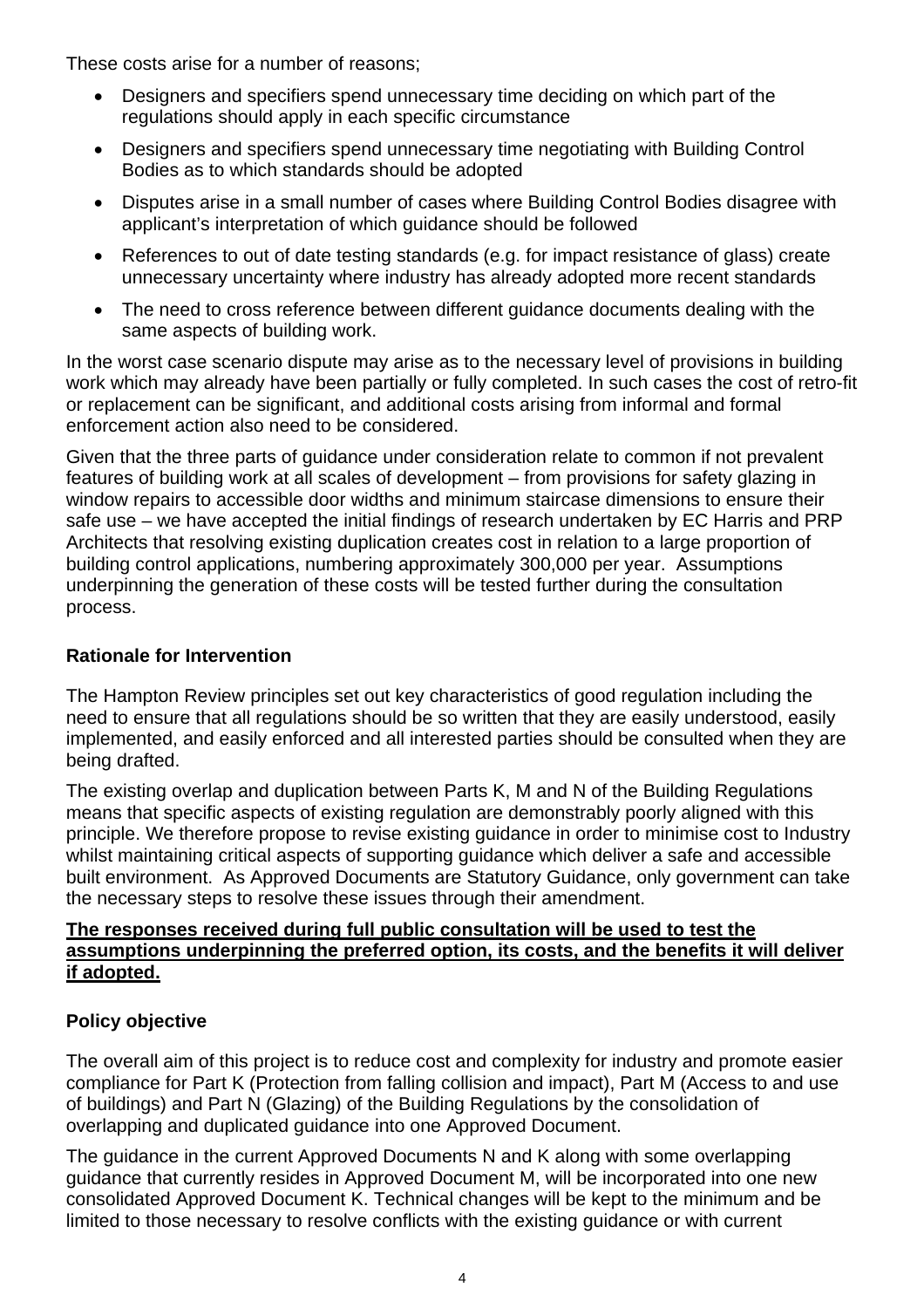These costs arise for a number of reasons;

- Designers and specifiers spend unnecessary time deciding on which part of the regulations should apply in each specific circumstance
- Designers and specifiers spend unnecessary time negotiating with Building Control Bodies as to which standards should be adopted
- Disputes arise in a small number of cases where Building Control Bodies disagree with applicant's interpretation of which guidance should be followed
- References to out of date testing standards (e.g. for impact resistance of glass) create unnecessary uncertainty where industry has already adopted more recent standards
- The need to cross reference between different guidance documents dealing with the same aspects of building work.

In the worst case scenario dispute may arise as to the necessary level of provisions in building work which may already have been partially or fully completed. In such cases the cost of retro-fit or replacement can be significant, and additional costs arising from informal and formal enforcement action also need to be considered.

Given that the three parts of guidance under consideration relate to common if not prevalent features of building work at all scales of development – from provisions for safety glazing in window repairs to accessible door widths and minimum staircase dimensions to ensure their safe use – we have accepted the initial findings of research undertaken by EC Harris and PRP Architects that resolving existing duplication creates cost in relation to a large proportion of building control applications, numbering approximately 300,000 per year. Assumptions underpinning the generation of these costs will be tested further during the consultation process.

#### **Rationale for Intervention**

The Hampton Review principles set out key characteristics of good regulation including the need to ensure that all regulations should be so written that they are easily understood, easily implemented, and easily enforced and all interested parties should be consulted when they are being drafted.

The existing overlap and duplication between Parts K, M and N of the Building Regulations means that specific aspects of existing regulation are demonstrably poorly aligned with this principle. We therefore propose to revise existing guidance in order to minimise cost to Industry whilst maintaining critical aspects of supporting guidance which deliver a safe and accessible built environment. As Approved Documents are Statutory Guidance, only government can take the necessary steps to resolve these issues through their amendment.

#### **The responses received during full public consultation will be used to test the assumptions underpinning the preferred option, its costs, and the benefits it will deliver if adopted.**

#### **Policy objective**

The overall aim of this project is to reduce cost and complexity for industry and promote easier compliance for Part K (Protection from falling collision and impact), Part M (Access to and use of buildings) and Part N (Glazing) of the Building Regulations by the consolidation of overlapping and duplicated guidance into one Approved Document.

The guidance in the current Approved Documents N and K along with some overlapping guidance that currently resides in Approved Document M, will be incorporated into one new consolidated Approved Document K. Technical changes will be kept to the minimum and be limited to those necessary to resolve conflicts with the existing guidance or with current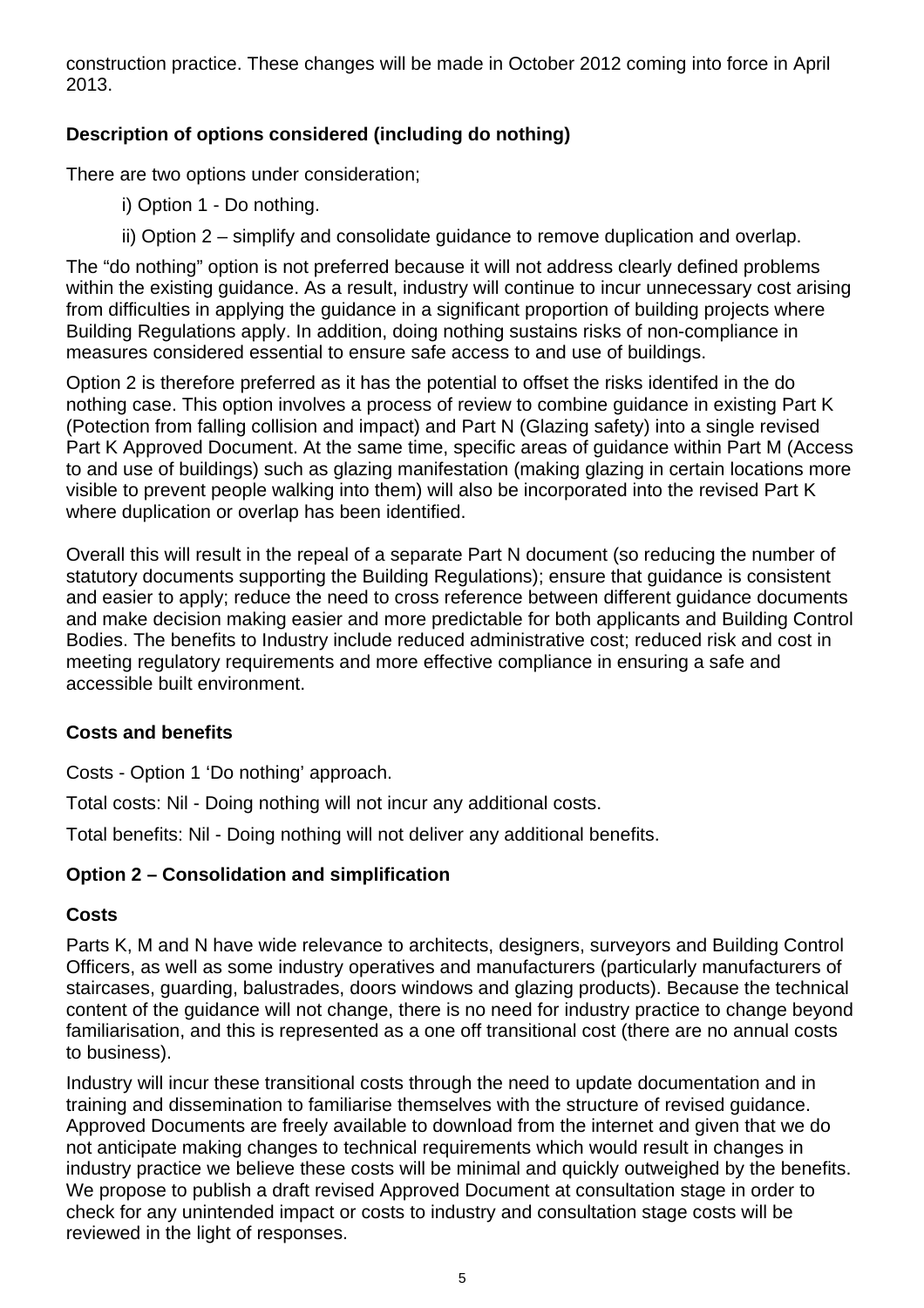construction practice. These changes will be made in October 2012 coming into force in April 2013.

## **Description of options considered (including do nothing)**

There are two options under consideration;

- i) Option 1 Do nothing.
- ii) Option 2 simplify and consolidate guidance to remove duplication and overlap.

The "do nothing" option is not preferred because it will not address clearly defined problems within the existing guidance. As a result, industry will continue to incur unnecessary cost arising from difficulties in applying the guidance in a significant proportion of building projects where Building Regulations apply. In addition, doing nothing sustains risks of non-compliance in measures considered essential to ensure safe access to and use of buildings.

Option 2 is therefore preferred as it has the potential to offset the risks identifed in the do nothing case. This option involves a process of review to combine guidance in existing Part K (Potection from falling collision and impact) and Part N (Glazing safety) into a single revised Part K Approved Document. At the same time, specific areas of guidance within Part M (Access to and use of buildings) such as glazing manifestation (making glazing in certain locations more visible to prevent people walking into them) will also be incorporated into the revised Part K where duplication or overlap has been identified.

Overall this will result in the repeal of a separate Part N document (so reducing the number of statutory documents supporting the Building Regulations); ensure that guidance is consistent and easier to apply; reduce the need to cross reference between different guidance documents and make decision making easier and more predictable for both applicants and Building Control Bodies. The benefits to Industry include reduced administrative cost; reduced risk and cost in meeting regulatory requirements and more effective compliance in ensuring a safe and accessible built environment.

#### **Costs and benefits**

Costs - Option 1 'Do nothing' approach.

Total costs: Nil - Doing nothing will not incur any additional costs.

Total benefits: Nil - Doing nothing will not deliver any additional benefits.

#### **Option 2 – Consolidation and simplification**

#### **Costs**

Parts K, M and N have wide relevance to architects, designers, surveyors and Building Control Officers, as well as some industry operatives and manufacturers (particularly manufacturers of staircases, guarding, balustrades, doors windows and glazing products). Because the technical content of the guidance will not change, there is no need for industry practice to change beyond familiarisation, and this is represented as a one off transitional cost (there are no annual costs to business).

Industry will incur these transitional costs through the need to update documentation and in training and dissemination to familiarise themselves with the structure of revised guidance. Approved Documents are freely available to download from the internet and given that we do not anticipate making changes to technical requirements which would result in changes in industry practice we believe these costs will be minimal and quickly outweighed by the benefits. We propose to publish a draft revised Approved Document at consultation stage in order to check for any unintended impact or costs to industry and consultation stage costs will be reviewed in the light of responses.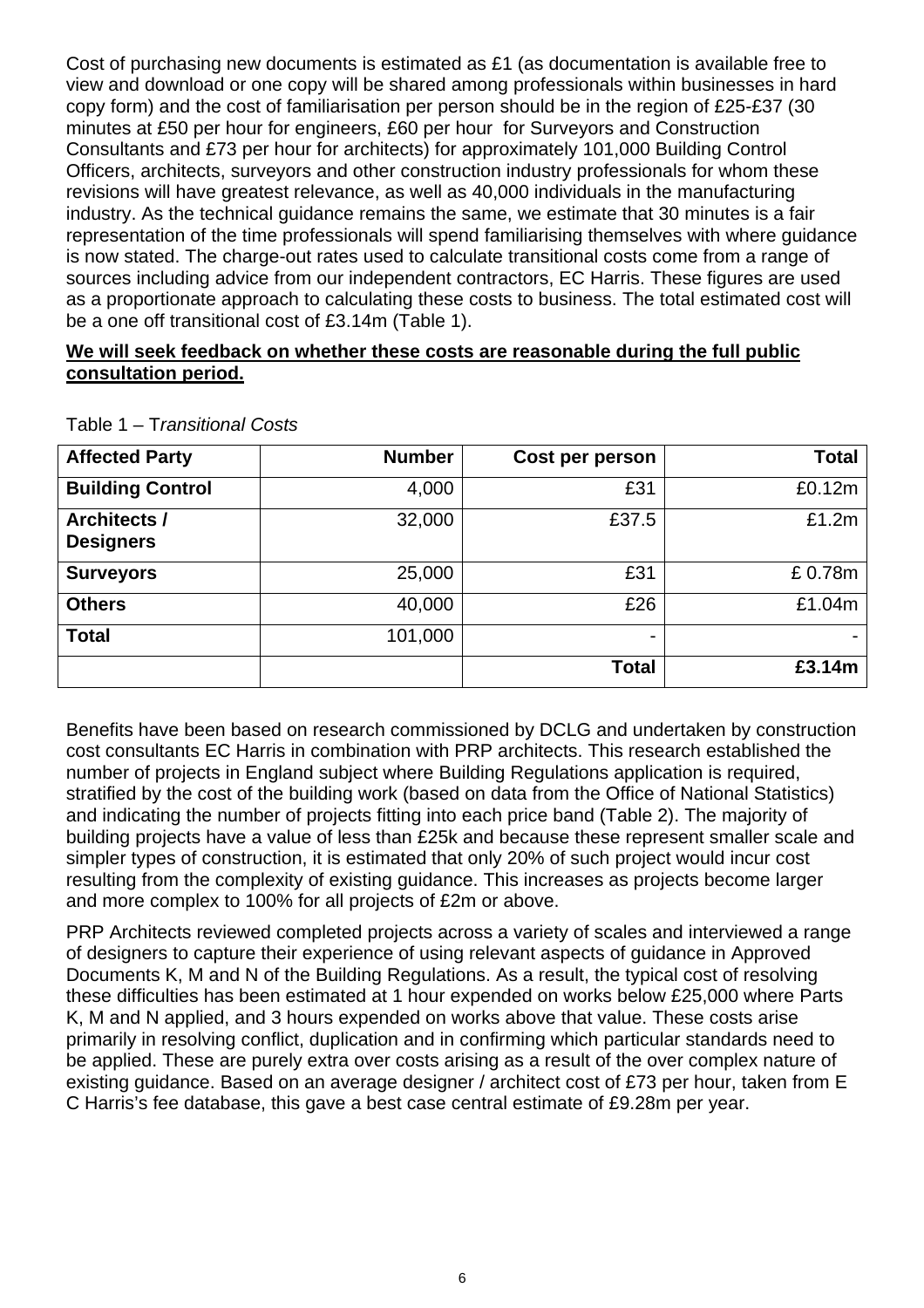Cost of purchasing new documents is estimated as £1 (as documentation is available free to view and download or one copy will be shared among professionals within businesses in hard copy form) and the cost of familiarisation per person should be in the region of £25-£37 (30 minutes at £50 per hour for engineers, £60 per hour for Surveyors and Construction Consultants and £73 per hour for architects) for approximately 101,000 Building Control Officers, architects, surveyors and other construction industry professionals for whom these revisions will have greatest relevance, as well as 40,000 individuals in the manufacturing industry. As the technical guidance remains the same, we estimate that 30 minutes is a fair representation of the time professionals will spend familiarising themselves with where guidance is now stated. The charge-out rates used to calculate transitional costs come from a range of sources including advice from our independent contractors, EC Harris. These figures are used as a proportionate approach to calculating these costs to business. The total estimated cost will be a one off transitional cost of £3.14m (Table 1).

#### **We will seek feedback on whether these costs are reasonable during the full public consultation period.**

| <b>Affected Party</b>                   | <b>Number</b> | Cost per person | <b>Total</b> |
|-----------------------------------------|---------------|-----------------|--------------|
| <b>Building Control</b>                 | 4,000         | £31             | £0.12m       |
| <b>Architects /</b><br><b>Designers</b> | 32,000        | £37.5           | £1.2m        |
| <b>Surveyors</b>                        | 25,000        | £31             | £0.78m       |
| <b>Others</b>                           | 40,000        | £26             | £1.04m       |
| <b>Total</b>                            | 101,000       | ۰               |              |
|                                         |               | <b>Total</b>    | £3.14m       |

Table 1 – T*ransitional Costs*

Benefits have been based on research commissioned by DCLG and undertaken by construction cost consultants EC Harris in combination with PRP architects. This research established the number of projects in England subject where Building Regulations application is required, stratified by the cost of the building work (based on data from the Office of National Statistics) and indicating the number of projects fitting into each price band (Table 2). The majority of building projects have a value of less than £25k and because these represent smaller scale and simpler types of construction, it is estimated that only 20% of such project would incur cost resulting from the complexity of existing guidance. This increases as projects become larger and more complex to 100% for all projects of £2m or above.

PRP Architects reviewed completed projects across a variety of scales and interviewed a range of designers to capture their experience of using relevant aspects of guidance in Approved Documents K, M and N of the Building Regulations. As a result, the typical cost of resolving these difficulties has been estimated at 1 hour expended on works below £25,000 where Parts K, M and N applied, and 3 hours expended on works above that value. These costs arise primarily in resolving conflict, duplication and in confirming which particular standards need to be applied. These are purely extra over costs arising as a result of the over complex nature of existing guidance. Based on an average designer / architect cost of £73 per hour, taken from E C Harris's fee database, this gave a best case central estimate of £9.28m per year.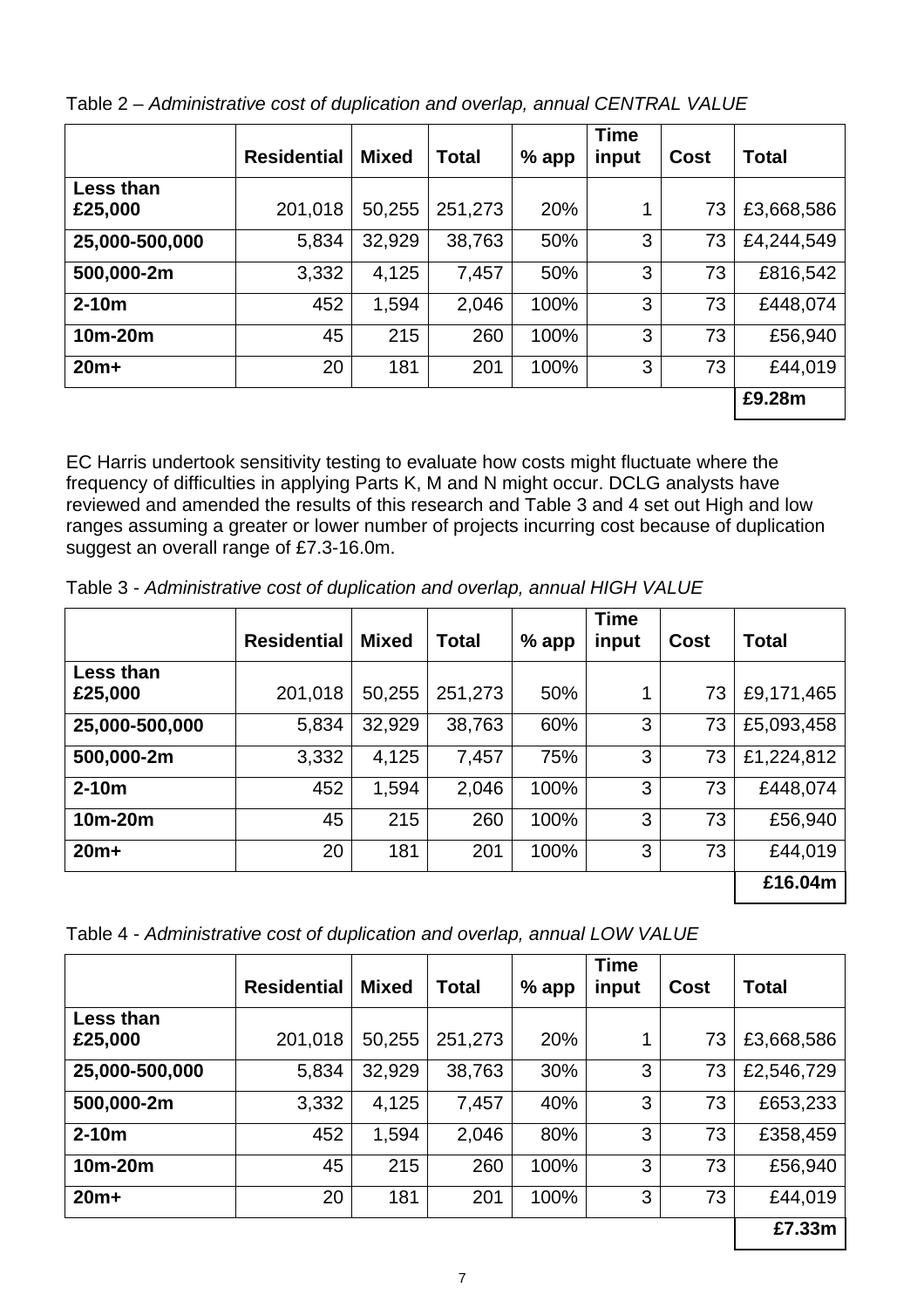|                      | <b>Residential</b> | <b>Mixed</b> | <b>Total</b> | $%$ app | <b>Time</b><br>input | Cost | <b>Total</b> |
|----------------------|--------------------|--------------|--------------|---------|----------------------|------|--------------|
| Less than<br>£25,000 | 201,018            | 50,255       | 251,273      | 20%     | 1                    | 73   | £3,668,586   |
| 25,000-500,000       | 5,834              | 32,929       | 38,763       | 50%     | 3                    | 73   | £4,244,549   |
| 500,000-2m           | 3,332              | 4,125        | 7,457        | 50%     | 3                    | 73   | £816,542     |
| $2-10m$              | 452                | 1,594        | 2,046        | 100%    | 3                    | 73   | £448,074     |
| $10m-20m$            | 45                 | 215          | 260          | 100%    | 3                    | 73   | £56,940      |
| $20m+$               | 20                 | 181          | 201          | 100%    | 3                    | 73   | £44,019      |
|                      |                    |              |              |         |                      |      | £9.28m       |

Table 2 – *Administrative cost of duplication and overlap, annual CENTRAL VALUE* 

EC Harris undertook sensitivity testing to evaluate how costs might fluctuate where the frequency of difficulties in applying Parts K, M and N might occur. DCLG analysts have reviewed and amended the results of this research and Table 3 and 4 set out High and low ranges assuming a greater or lower number of projects incurring cost because of duplication suggest an overall range of £7.3-16.0m.

Table 3 - *Administrative cost of duplication and overlap, annual HIGH VALUE* 

|                             | <b>Residential</b> | <b>Mixed</b> | Total   | $%$ app | <b>Time</b><br>input | Cost | <b>Total</b> |
|-----------------------------|--------------------|--------------|---------|---------|----------------------|------|--------------|
| <b>Less than</b><br>£25,000 | 201,018            | 50,255       | 251,273 | 50%     | 1                    | 73   | £9,171,465   |
| 25,000-500,000              | 5,834              | 32,929       | 38,763  | 60%     | 3                    | 73   | £5,093,458   |
| 500,000-2m                  | 3,332              | 4,125        | 7,457   | 75%     | 3                    | 73   | £1,224,812   |
| $2-10m$                     | 452                | 1,594        | 2,046   | 100%    | 3                    | 73   | £448,074     |
| $10m-20m$                   | 45                 | 215          | 260     | 100%    | 3                    | 73   | £56,940      |
| $20m+$                      | 20                 | 181          | 201     | 100%    | 3                    | 73   | £44,019      |
|                             |                    |              |         |         |                      |      | £16.04m      |

|  |  | Table 4 - Administrative cost of duplication and overlap, annual LOW VALUE |  |  |  |  |  |
|--|--|----------------------------------------------------------------------------|--|--|--|--|--|
|--|--|----------------------------------------------------------------------------|--|--|--|--|--|

|                      | <b>Residential</b> | <b>Mixed</b> | <b>Total</b> | $%$ app | <b>Time</b><br>input | Cost | <b>Total</b> |
|----------------------|--------------------|--------------|--------------|---------|----------------------|------|--------------|
| Less than<br>£25,000 | 201,018            | 50,255       | 251,273      | 20%     | 1                    | 73   | £3,668,586   |
| 25,000-500,000       | 5,834              | 32,929       | 38,763       | 30%     | 3                    | 73   | £2,546,729   |
| 500,000-2m           | 3,332              | 4,125        | 7,457        | 40%     | 3                    | 73   | £653,233     |
| $2-10m$              | 452                | 1,594        | 2,046        | 80%     | 3                    | 73   | £358,459     |
| 10m-20m              | 45                 | 215          | 260          | 100%    | 3                    | 73   | £56,940      |
| $20m+$               | 20                 | 181          | 201          | 100%    | 3                    | 73   | £44,019      |
|                      |                    |              |              |         |                      |      | £7.33m       |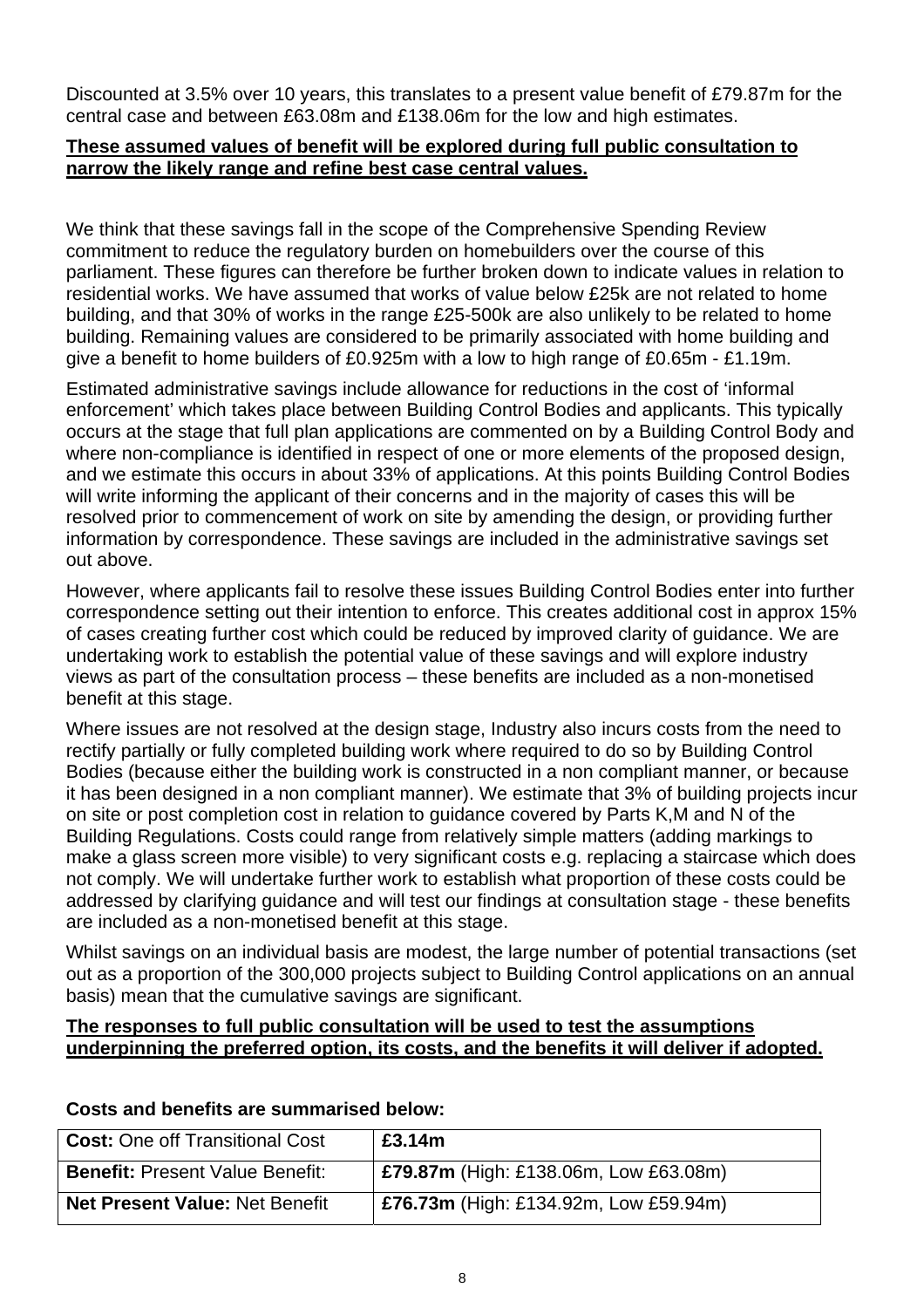Discounted at 3.5% over 10 years, this translates to a present value benefit of £79.87m for the central case and between £63.08m and £138.06m for the low and high estimates.

#### **These assumed values of benefit will be explored during full public consultation to narrow the likely range and refine best case central values.**

We think that these savings fall in the scope of the Comprehensive Spending Review commitment to reduce the regulatory burden on homebuilders over the course of this parliament. These figures can therefore be further broken down to indicate values in relation to residential works. We have assumed that works of value below £25k are not related to home building, and that 30% of works in the range £25-500k are also unlikely to be related to home building. Remaining values are considered to be primarily associated with home building and give a benefit to home builders of £0.925m with a low to high range of £0.65m - £1.19m.

Estimated administrative savings include allowance for reductions in the cost of 'informal enforcement' which takes place between Building Control Bodies and applicants. This typically occurs at the stage that full plan applications are commented on by a Building Control Body and where non-compliance is identified in respect of one or more elements of the proposed design, and we estimate this occurs in about 33% of applications. At this points Building Control Bodies will write informing the applicant of their concerns and in the majority of cases this will be resolved prior to commencement of work on site by amending the design, or providing further information by correspondence. These savings are included in the administrative savings set out above.

However, where applicants fail to resolve these issues Building Control Bodies enter into further correspondence setting out their intention to enforce. This creates additional cost in approx 15% of cases creating further cost which could be reduced by improved clarity of guidance. We are undertaking work to establish the potential value of these savings and will explore industry views as part of the consultation process – these benefits are included as a non-monetised benefit at this stage.

Where issues are not resolved at the design stage, Industry also incurs costs from the need to rectify partially or fully completed building work where required to do so by Building Control Bodies (because either the building work is constructed in a non compliant manner, or because it has been designed in a non compliant manner). We estimate that 3% of building projects incur on site or post completion cost in relation to guidance covered by Parts K,M and N of the Building Regulations. Costs could range from relatively simple matters (adding markings to make a glass screen more visible) to very significant costs e.g. replacing a staircase which does not comply. We will undertake further work to establish what proportion of these costs could be addressed by clarifying guidance and will test our findings at consultation stage - these benefits are included as a non-monetised benefit at this stage.

Whilst savings on an individual basis are modest, the large number of potential transactions (set out as a proportion of the 300,000 projects subject to Building Control applications on an annual basis) mean that the cumulative savings are significant.

#### **The responses to full public consultation will be used to test the assumptions underpinning the preferred option, its costs, and the benefits it will deliver if adopted.**

| <b>Cost: One off Transitional Cost</b> | £3.14m                                       |
|----------------------------------------|----------------------------------------------|
| <b>Benefit: Present Value Benefit:</b> | <b>£79.87m</b> (High: £138.06m, Low £63.08m) |
| <b>Net Present Value: Net Benefit</b>  | £76.73m (High: £134.92m, Low £59.94m)        |

#### **Costs and benefits are summarised below:**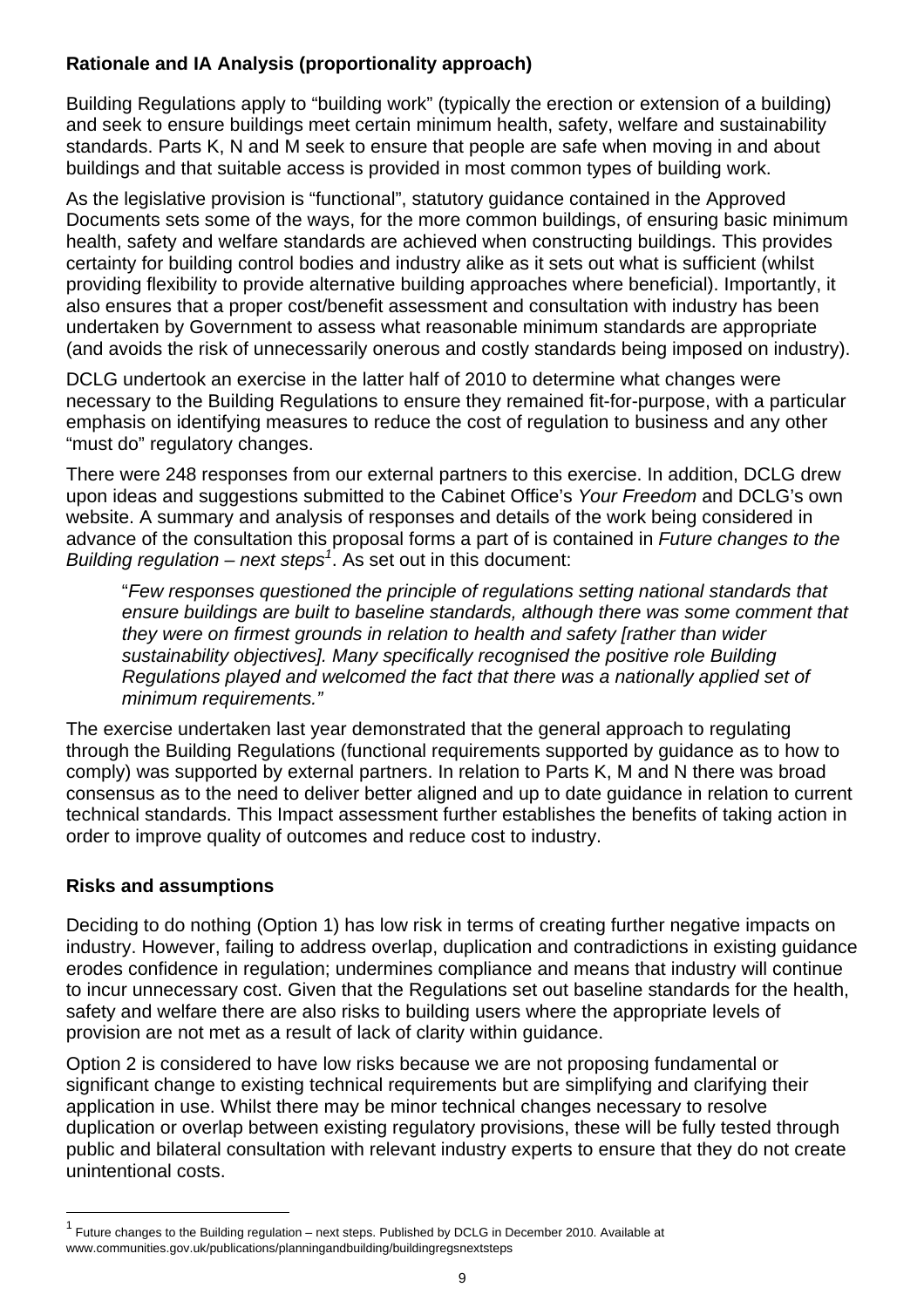#### **Rationale and IA Analysis (proportionality approach)**

Building Regulations apply to "building work" (typically the erection or extension of a building) and seek to ensure buildings meet certain minimum health, safety, welfare and sustainability standards. Parts K, N and M seek to ensure that people are safe when moving in and about buildings and that suitable access is provided in most common types of building work.

As the legislative provision is "functional", statutory guidance contained in the Approved Documents sets some of the ways, for the more common buildings, of ensuring basic minimum health, safety and welfare standards are achieved when constructing buildings. This provides certainty for building control bodies and industry alike as it sets out what is sufficient (whilst providing flexibility to provide alternative building approaches where beneficial). Importantly, it also ensures that a proper cost/benefit assessment and consultation with industry has been undertaken by Government to assess what reasonable minimum standards are appropriate (and avoids the risk of unnecessarily onerous and costly standards being imposed on industry).

DCLG undertook an exercise in the latter half of 2010 to determine what changes were necessary to the Building Regulations to ensure they remained fit-for-purpose, with a particular emphasis on identifying measures to reduce the cost of regulation to business and any other "must do" regulatory changes.

There were 248 responses from our external partners to this exercise. In addition, DCLG drew upon ideas and suggestions submitted to the Cabinet Office's *Your Freedom* and DCLG's own website. A summary and analysis of responses and details of the work being considered in advance of the consultation this proposal forms a part of is contained in *Future changes to the Building regulation – next steps<sup>1</sup>* . As set out in this document:

"*Few responses questioned the principle of regulations setting national standards that ensure buildings are built to baseline standards, although there was some comment that they were on firmest grounds in relation to health and safety [rather than wider sustainability objectives]. Many specifically recognised the positive role Building Regulations played and welcomed the fact that there was a nationally applied set of minimum requirements."*

The exercise undertaken last year demonstrated that the general approach to regulating through the Building Regulations (functional requirements supported by guidance as to how to comply) was supported by external partners. In relation to Parts K, M and N there was broad consensus as to the need to deliver better aligned and up to date guidance in relation to current technical standards. This Impact assessment further establishes the benefits of taking action in order to improve quality of outcomes and reduce cost to industry.

#### **Risks and assumptions**

l

Deciding to do nothing (Option 1) has low risk in terms of creating further negative impacts on industry. However, failing to address overlap, duplication and contradictions in existing guidance erodes confidence in regulation; undermines compliance and means that industry will continue to incur unnecessary cost. Given that the Regulations set out baseline standards for the health, safety and welfare there are also risks to building users where the appropriate levels of provision are not met as a result of lack of clarity within guidance.

Option 2 is considered to have low risks because we are not proposing fundamental or significant change to existing technical requirements but are simplifying and clarifying their application in use. Whilst there may be minor technical changes necessary to resolve duplication or overlap between existing regulatory provisions, these will be fully tested through public and bilateral consultation with relevant industry experts to ensure that they do not create unintentional costs.

<sup>&</sup>lt;sup>1</sup> Future changes to the Building regulation – next steps. Published by DCLG in December 2010. Available at www.communities.gov.uk/publications/planningandbuilding/buildingregsnextsteps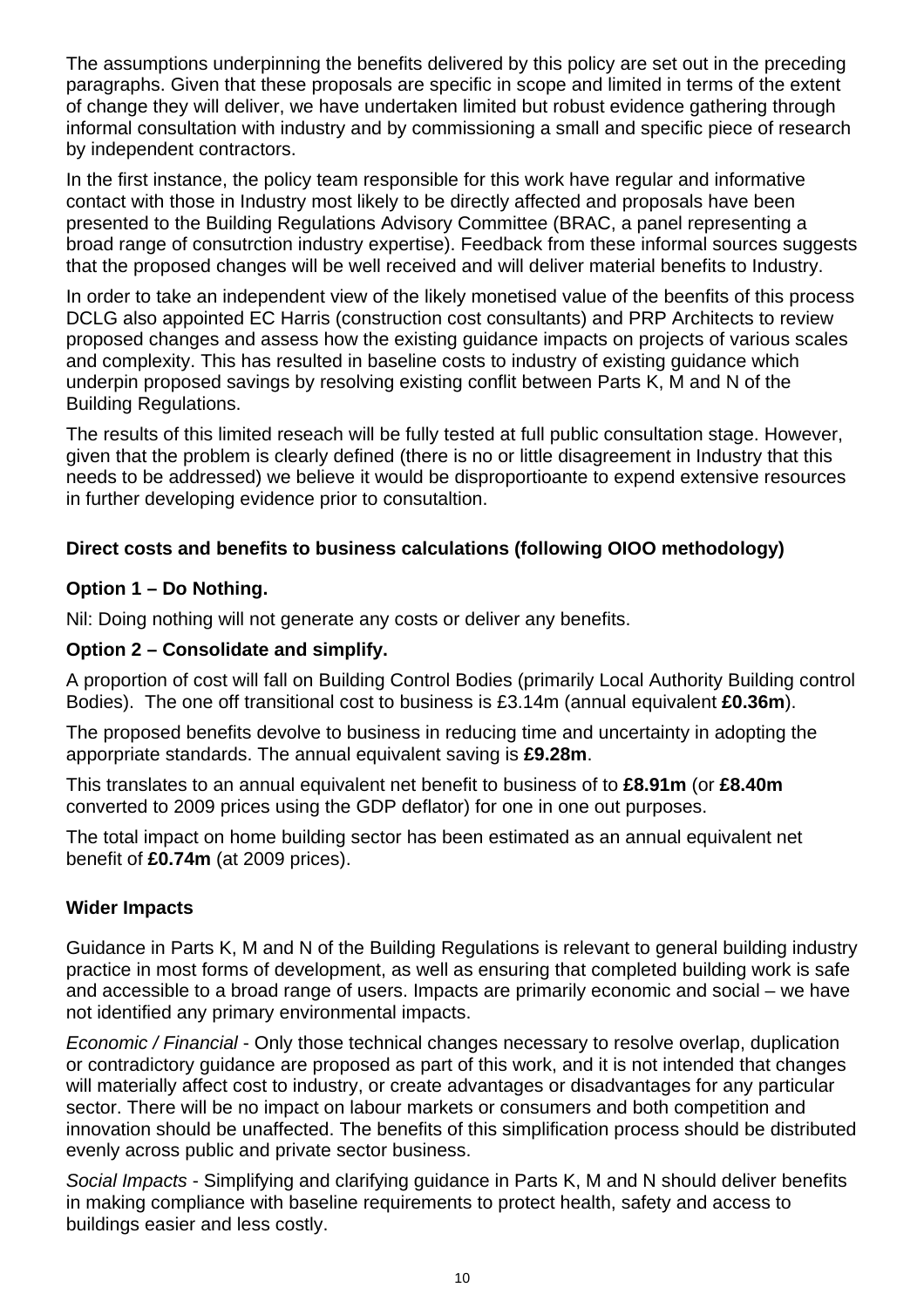The assumptions underpinning the benefits delivered by this policy are set out in the preceding paragraphs. Given that these proposals are specific in scope and limited in terms of the extent of change they will deliver, we have undertaken limited but robust evidence gathering through informal consultation with industry and by commissioning a small and specific piece of research by independent contractors.

In the first instance, the policy team responsible for this work have regular and informative contact with those in Industry most likely to be directly affected and proposals have been presented to the Building Regulations Advisory Committee (BRAC, a panel representing a broad range of consutrction industry expertise). Feedback from these informal sources suggests that the proposed changes will be well received and will deliver material benefits to Industry.

In order to take an independent view of the likely monetised value of the beenfits of this process DCLG also appointed EC Harris (construction cost consultants) and PRP Architects to review proposed changes and assess how the existing guidance impacts on projects of various scales and complexity. This has resulted in baseline costs to industry of existing guidance which underpin proposed savings by resolving existing conflit between Parts K, M and N of the Building Regulations.

The results of this limited reseach will be fully tested at full public consultation stage. However, given that the problem is clearly defined (there is no or little disagreement in Industry that this needs to be addressed) we believe it would be disproportioante to expend extensive resources in further developing evidence prior to consutaltion.

#### **Direct costs and benefits to business calculations (following OIOO methodology)**

#### **Option 1 – Do Nothing.**

Nil: Doing nothing will not generate any costs or deliver any benefits.

#### **Option 2 – Consolidate and simplify.**

A proportion of cost will fall on Building Control Bodies (primarily Local Authority Building control Bodies). The one off transitional cost to business is £3.14m (annual equivalent **£0.36m**).

The proposed benefits devolve to business in reducing time and uncertainty in adopting the apporpriate standards. The annual equivalent saving is **£9.28m**.

This translates to an annual equivalent net benefit to business of to **£8.91m** (or **£8.40m** converted to 2009 prices using the GDP deflator) for one in one out purposes.

The total impact on home building sector has been estimated as an annual equivalent net benefit of **£0.74m** (at 2009 prices).

#### **Wider Impacts**

Guidance in Parts K, M and N of the Building Regulations is relevant to general building industry practice in most forms of development, as well as ensuring that completed building work is safe and accessible to a broad range of users. Impacts are primarily economic and social – we have not identified any primary environmental impacts.

*Economic / Financial* - Only those technical changes necessary to resolve overlap, duplication or contradictory guidance are proposed as part of this work, and it is not intended that changes will materially affect cost to industry, or create advantages or disadvantages for any particular sector. There will be no impact on labour markets or consumers and both competition and innovation should be unaffected. The benefits of this simplification process should be distributed evenly across public and private sector business.

*Social Impacts* - Simplifying and clarifying guidance in Parts K, M and N should deliver benefits in making compliance with baseline requirements to protect health, safety and access to buildings easier and less costly.